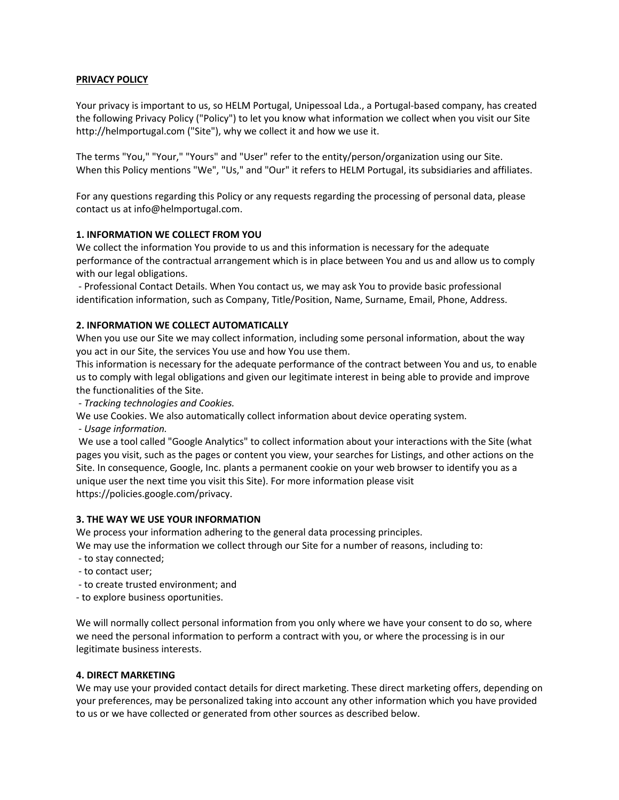# **PRIVACY POLICY**

Your privacy is important to us, so HELM Portugal, Unipessoal Lda., a Portugal-based company, has created the following Privacy Policy ("Policy") to let you know what information we collect when you visit our Site http://helmportugal.com ("Site"), why we collect it and how we use it.

The terms "You," "Your," "Yours" and "User" refer to the entity/person/organization using our Site. When this Policy mentions "We", "Us," and "Our" it refers to HELM Portugal, its subsidiaries and affiliates.

For any questions regarding this Policy or any requests regarding the processing of personal data, please contact us at info@helmportugal.com.

## **1. INFORMATION WE COLLECT FROM YOU**

We collect the information You provide to us and this information is necessary for the adequate performance of the contractual arrangement which is in place between You and us and allow us to comply with our legal obligations.

- Professional Contact Details. When You contact us, we may ask You to provide basic professional identification information, such as Company, Title/Position, Name, Surname, Email, Phone, Address.

# **2. INFORMATION WE COLLECT AUTOMATICALLY**

When you use our Site we may collect information, including some personal information, about the way you act in our Site, the services You use and how You use them.

This information is necessary for the adequate performance of the contract between You and us, to enable us to comply with legal obligations and given our legitimate interest in being able to provide and improve the functionalities of the Site.

*- Tracking technologies and Cookies.* 

We use Cookies. We also automatically collect information about device operating system.

*- Usage information.*

We use a tool called "Google Analytics" to collect information about your interactions with the Site (what pages you visit, such as the pages or content you view, your searches for Listings, and other actions on the Site. In consequence, Google, Inc. plants a permanent cookie on your web browser to identify you as a unique user the next time you visit this Site). For more information please visit https://policies.google.com/privacy.

## **3. THE WAY WE USE YOUR INFORMATION**

We process your information adhering to the general data processing principles.

We may use the information we collect through our Site for a number of reasons, including to:

- to stay connected;
- to contact user;
- to create trusted environment; and

- to explore business oportunities.

We will normally collect personal information from you only where we have your consent to do so, where we need the personal information to perform a contract with you, or where the processing is in our legitimate business interests.

## **4. DIRECT MARKETING**

We may use your provided contact details for direct marketing. These direct marketing offers, depending on your preferences, may be personalized taking into account any other information which you have provided to us or we have collected or generated from other sources as described below.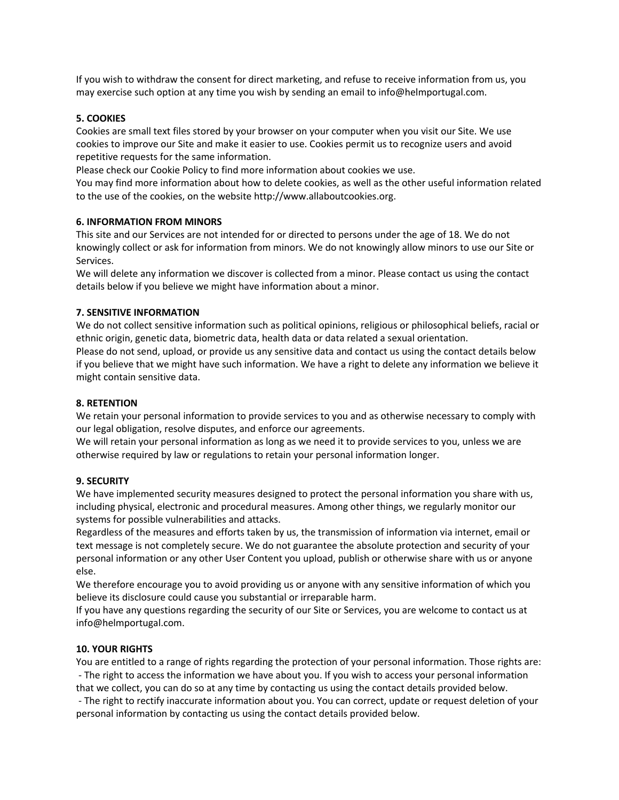If you wish to withdraw the consent for direct marketing, and refuse to receive information from us, you may exercise such option at any time you wish by sending an email to info@helmportugal.com.

# **5. COOKIES**

Cookies are small text files stored by your browser on your computer when you visit our Site. We use cookies to improve our Site and make it easier to use. Cookies permit us to recognize users and avoid repetitive requests for the same information.

Please check our Cookie Policy to find more information about cookies we use.

You may find more information about how to delete cookies, as well as the other useful information related to the use of the cookies, on the website http://www.allaboutcookies.org.

# **6. INFORMATION FROM MINORS**

This site and our Services are not intended for or directed to persons under the age of 18. We do not knowingly collect or ask for information from minors. We do not knowingly allow minors to use our Site or Services.

We will delete any information we discover is collected from a minor. Please contact us using the contact details below if you believe we might have information about a minor.

# **7. SENSITIVE INFORMATION**

We do not collect sensitive information such as political opinions, religious or philosophical beliefs, racial or ethnic origin, genetic data, biometric data, health data or data related a sexual orientation.

Please do not send, upload, or provide us any sensitive data and contact us using the contact details below if you believe that we might have such information. We have a right to delete any information we believe it might contain sensitive data.

## **8. RETENTION**

We retain your personal information to provide services to you and as otherwise necessary to comply with our legal obligation, resolve disputes, and enforce our agreements.

We will retain your personal information as long as we need it to provide services to you, unless we are otherwise required by law or regulations to retain your personal information longer.

## **9. SECURITY**

We have implemented security measures designed to protect the personal information you share with us, including physical, electronic and procedural measures. Among other things, we regularly monitor our systems for possible vulnerabilities and attacks.

Regardless of the measures and efforts taken by us, the transmission of information via internet, email or text message is not completely secure. We do not guarantee the absolute protection and security of your personal information or any other User Content you upload, publish or otherwise share with us or anyone else.

We therefore encourage you to avoid providing us or anyone with any sensitive information of which you believe its disclosure could cause you substantial or irreparable harm.

If you have any questions regarding the security of our Site or Services, you are welcome to contact us at info@helmportugal.com.

## **10. YOUR RIGHTS**

You are entitled to a range of rights regarding the protection of your personal information. Those rights are: - The right to access the information we have about you. If you wish to access your personal information that we collect, you can do so at any time by contacting us using the contact details provided below.

- The right to rectify inaccurate information about you. You can correct, update or request deletion of your personal information by contacting us using the contact details provided below.